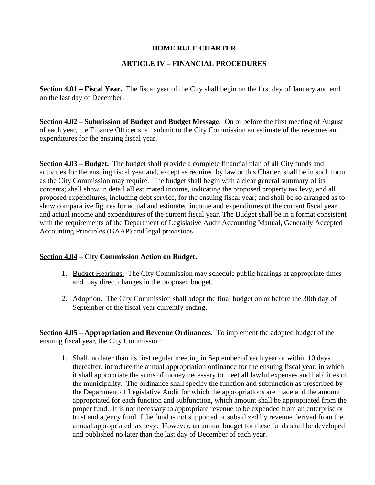## **HOME RULE CHARTER**

## **ARTICLE IV – FINANCIAL PROCEDURES**

**Section 4.01 – Fiscal Year.** The fiscal year of the City shall begin on the first day of January and end on the last day of December.

**Section 4.02 – Submission of Budget and Budget Message.** On or before the first meeting of August of each year, the Finance Officer shall submit to the City Commission an estimate of the revenues and expenditures for the ensuing fiscal year.

**Section 4.03 – Budget.** The budget shall provide a complete financial plan of all City funds and activities for the ensuing fiscal year and, except as required by law or this Charter, shall be in such form as the City Commission may require. The budget shall begin with a clear general summary of its contents; shall show in detail all estimated income, indicating the proposed property tax levy, and all proposed expenditures, including debt service, for the ensuing fiscal year; and shall be so arranged as to show comparative figures for actual and estimated income and expenditures of the current fiscal year and actual income and expenditures of the current fiscal year. The Budget shall be in a format consistent with the requirements of the Department of Legislative Audit Accounting Manual, Generally Accepted Accounting Principles (GAAP) and legal provisions.

## **Section 4.04 – City Commission Action on Budget.**

- 1. Budget Hearings. The City Commission may schedule public hearings at appropriate times and may direct changes in the proposed budget.
- 2. Adoption. The City Commission shall adopt the final budget on or before the 30th day of September of the fiscal year currently ending.

**Section 4.05 – Appropriation and Revenue Ordinances.** To implement the adopted budget of the ensuing fiscal year, the City Commission:

1. Shall, no later than its first regular meeting in September of each year or within 10 days thereafter, introduce the annual appropriation ordinance for the ensuing fiscal year, in which it shall appropriate the sums of money necessary to meet all lawful expenses and liabilities of the municipality. The ordinance shall specify the function and subfunction as prescribed by the Department of Legislative Audit for which the appropriations are made and the amount appropriated for each function and subfunction, which amount shall be appropriated from the proper fund. It is not necessary to appropriate revenue to be expended from an enterprise or trust and agency fund if the fund is not supported or subsidized by revenue derived from the annual appropriated tax levy. However, an annual budget for these funds shall be developed and published no later than the last day of December of each year.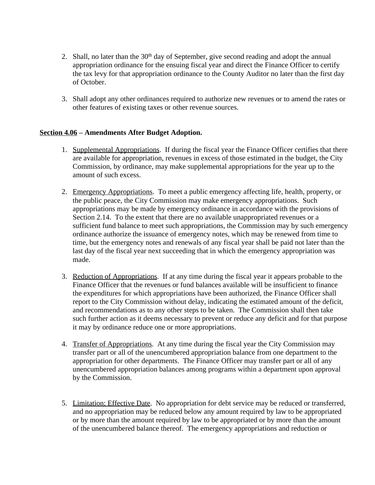- 2. Shall, no later than the 30<sup>th</sup> day of September, give second reading and adopt the annual appropriation ordinance for the ensuing fiscal year and direct the Finance Officer to certify the tax levy for that appropriation ordinance to the County Auditor no later than the first day of October.
- 3. Shall adopt any other ordinances required to authorize new revenues or to amend the rates or other features of existing taxes or other revenue sources.

## **Section 4.06 – Amendments After Budget Adoption.**

- 1. Supplemental Appropriations. If during the fiscal year the Finance Officer certifies that there are available for appropriation, revenues in excess of those estimated in the budget, the City Commission, by ordinance, may make supplemental appropriations for the year up to the amount of such excess.
- 2. Emergency Appropriations. To meet a public emergency affecting life, health, property, or the public peace, the City Commission may make emergency appropriations. Such appropriations may be made by emergency ordinance in accordance with the provisions of Section 2.14. To the extent that there are no available unappropriated revenues or a sufficient fund balance to meet such appropriations, the Commission may by such emergency ordinance authorize the issuance of emergency notes, which may be renewed from time to time, but the emergency notes and renewals of any fiscal year shall be paid not later than the last day of the fiscal year next succeeding that in which the emergency appropriation was made.
- 3. Reduction of Appropriations. If at any time during the fiscal year it appears probable to the Finance Officer that the revenues or fund balances available will be insufficient to finance the expenditures for which appropriations have been authorized, the Finance Officer shall report to the City Commission without delay, indicating the estimated amount of the deficit, and recommendations as to any other steps to be taken. The Commission shall then take such further action as it deems necessary to prevent or reduce any deficit and for that purpose it may by ordinance reduce one or more appropriations.
- 4. Transfer of Appropriations. At any time during the fiscal year the City Commission may transfer part or all of the unencumbered appropriation balance from one department to the appropriation for other departments. The Finance Officer may transfer part or all of any unencumbered appropriation balances among programs within a department upon approval by the Commission.
- 5. Limitation; Effective Date. No appropriation for debt service may be reduced or transferred, and no appropriation may be reduced below any amount required by law to be appropriated or by more than the amount required by law to be appropriated or by more than the amount of the unencumbered balance thereof. The emergency appropriations and reduction or